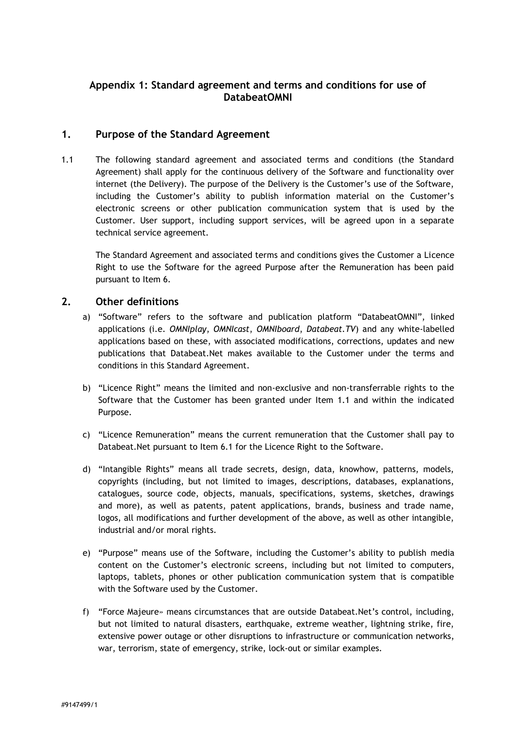# **Appendix 1: Standard agreement and terms and conditions for use of DatabeatOMNI**

### **1. Purpose of the Standard Agreement**

1.1 The following standard agreement and associated terms and conditions (the Standard Agreement) shall apply for the continuous delivery of the Software and functionality over internet (the Delivery). The purpose of the Delivery is the Customer's use of the Software, including the Customer's ability to publish information material on the Customer's electronic screens or other publication communication system that is used by the Customer. User support, including support services, will be agreed upon in a separate technical service agreement.

The Standard Agreement and associated terms and conditions gives the Customer a Licence Right to use the Software for the agreed Purpose after the Remuneration has been paid pursuant to Item 6.

### **2. Other definitions**

- a) "Software" refers to the software and publication platform "DatabeatOMNI", linked applications (i.e. *OMNIplay*, *OMNIcast*, *OMNIboard*, *Databeat.TV*) and any white-labelled applications based on these, with associated modifications, corrections, updates and new publications that Databeat.Net makes available to the Customer under the terms and conditions in this Standard Agreement.
- b) "Licence Right" means the limited and non-exclusive and non-transferrable rights to the Software that the Customer has been granted under Item 1.1 and within the indicated Purpose.
- c) "Licence Remuneration" means the current remuneration that the Customer shall pay to Databeat.Net pursuant to Item 6.1 for the Licence Right to the Software.
- d) "Intangible Rights" means all trade secrets, design, data, knowhow, patterns, models, copyrights (including, but not limited to images, descriptions, databases, explanations, catalogues, source code, objects, manuals, specifications, systems, sketches, drawings and more), as well as patents, patent applications, brands, business and trade name, logos, all modifications and further development of the above, as well as other intangible, industrial and/or moral rights.
- e) "Purpose" means use of the Software, including the Customer's ability to publish media content on the Customer's electronic screens, including but not limited to computers, laptops, tablets, phones or other publication communication system that is compatible with the Software used by the Customer.
- f) "Force Majeure» means circumstances that are outside Databeat.Net's control, including, but not limited to natural disasters, earthquake, extreme weather, lightning strike, fire, extensive power outage or other disruptions to infrastructure or communication networks, war, terrorism, state of emergency, strike, lock-out or similar examples.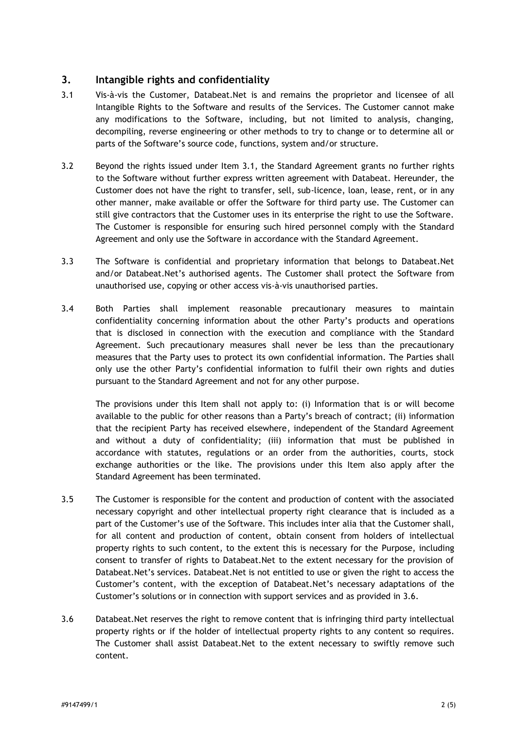# **3. Intangible rights and confidentiality**

- 3.1 Vis-à-vis the Customer, Databeat.Net is and remains the proprietor and licensee of all Intangible Rights to the Software and results of the Services. The Customer cannot make any modifications to the Software, including, but not limited to analysis, changing, decompiling, reverse engineering or other methods to try to change or to determine all or parts of the Software's source code, functions, system and/or structure.
- 3.2 Beyond the rights issued under Item 3.1, the Standard Agreement grants no further rights to the Software without further express written agreement with Databeat. Hereunder, the Customer does not have the right to transfer, sell, sub-licence, loan, lease, rent, or in any other manner, make available or offer the Software for third party use. The Customer can still give contractors that the Customer uses in its enterprise the right to use the Software. The Customer is responsible for ensuring such hired personnel comply with the Standard Agreement and only use the Software in accordance with the Standard Agreement.
- 3.3 The Software is confidential and proprietary information that belongs to Databeat.Net and/or Databeat.Net's authorised agents. The Customer shall protect the Software from unauthorised use, copying or other access vis-à-vis unauthorised parties.
- 3.4 Both Parties shall implement reasonable precautionary measures to maintain confidentiality concerning information about the other Party's products and operations that is disclosed in connection with the execution and compliance with the Standard Agreement. Such precautionary measures shall never be less than the precautionary measures that the Party uses to protect its own confidential information. The Parties shall only use the other Party's confidential information to fulfil their own rights and duties pursuant to the Standard Agreement and not for any other purpose.

The provisions under this Item shall not apply to: (i) Information that is or will become available to the public for other reasons than a Party's breach of contract; (ii) information that the recipient Party has received elsewhere, independent of the Standard Agreement and without a duty of confidentiality; (iii) information that must be published in accordance with statutes, regulations or an order from the authorities, courts, stock exchange authorities or the like. The provisions under this Item also apply after the Standard Agreement has been terminated.

- 3.5 The Customer is responsible for the content and production of content with the associated necessary copyright and other intellectual property right clearance that is included as a part of the Customer's use of the Software. This includes inter alia that the Customer shall, for all content and production of content, obtain consent from holders of intellectual property rights to such content, to the extent this is necessary for the Purpose, including consent to transfer of rights to Databeat.Net to the extent necessary for the provision of Databeat.Net's services. Databeat.Net is not entitled to use or given the right to access the Customer's content, with the exception of Databeat.Net's necessary adaptations of the Customer's solutions or in connection with support services and as provided in [3.6.](#page-1-0)
- <span id="page-1-0"></span>3.6 Databeat.Net reserves the right to remove content that is infringing third party intellectual property rights or if the holder of intellectual property rights to any content so requires. The Customer shall assist Databeat.Net to the extent necessary to swiftly remove such content.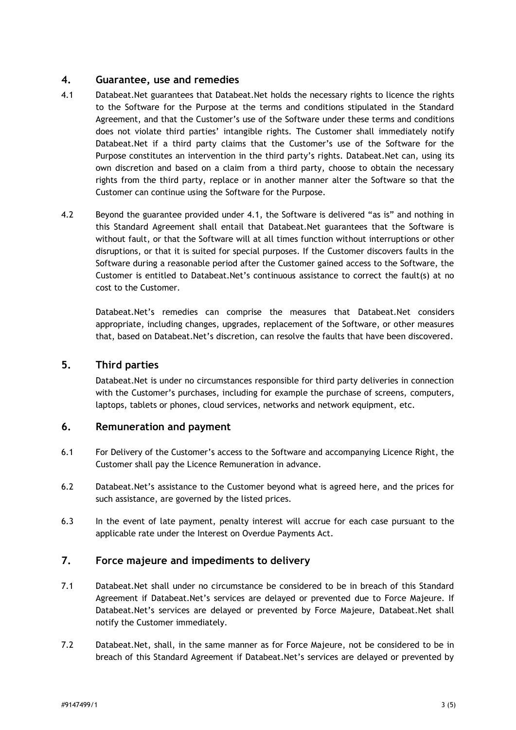## **4. Guarantee, use and remedies**

- 4.1 Databeat.Net guarantees that Databeat.Net holds the necessary rights to licence the rights to the Software for the Purpose at the terms and conditions stipulated in the Standard Agreement, and that the Customer's use of the Software under these terms and conditions does not violate third parties' intangible rights. The Customer shall immediately notify Databeat.Net if a third party claims that the Customer's use of the Software for the Purpose constitutes an intervention in the third party's rights. Databeat.Net can, using its own discretion and based on a claim from a third party, choose to obtain the necessary rights from the third party, replace or in another manner alter the Software so that the Customer can continue using the Software for the Purpose.
- 4.2 Beyond the guarantee provided under 4.1, the Software is delivered "as is" and nothing in this Standard Agreement shall entail that Databeat.Net guarantees that the Software is without fault, or that the Software will at all times function without interruptions or other disruptions, or that it is suited for special purposes. If the Customer discovers faults in the Software during a reasonable period after the Customer gained access to the Software, the Customer is entitled to Databeat.Net's continuous assistance to correct the fault(s) at no cost to the Customer.

Databeat.Net's remedies can comprise the measures that Databeat.Net considers appropriate, including changes, upgrades, replacement of the Software, or other measures that, based on Databeat.Net's discretion, can resolve the faults that have been discovered.

### **5. Third parties**

Databeat.Net is under no circumstances responsible for third party deliveries in connection with the Customer's purchases, including for example the purchase of screens, computers, laptops, tablets or phones, cloud services, networks and network equipment, etc.

### **6. Remuneration and payment**

- 6.1 For Delivery of the Customer's access to the Software and accompanying Licence Right, the Customer shall pay the Licence Remuneration in advance.
- 6.2 Databeat.Net's assistance to the Customer beyond what is agreed here, and the prices for such assistance, are governed by the listed prices.
- 6.3 In the event of late payment, penalty interest will accrue for each case pursuant to the applicable rate under the Interest on Overdue Payments Act.

# **7. Force majeure and impediments to delivery**

- 7.1 Databeat.Net shall under no circumstance be considered to be in breach of this Standard Agreement if Databeat.Net's services are delayed or prevented due to Force Majeure. If Databeat.Net's services are delayed or prevented by Force Majeure, Databeat.Net shall notify the Customer immediately.
- 7.2 Databeat.Net, shall, in the same manner as for Force Majeure, not be considered to be in breach of this Standard Agreement if Databeat.Net's services are delayed or prevented by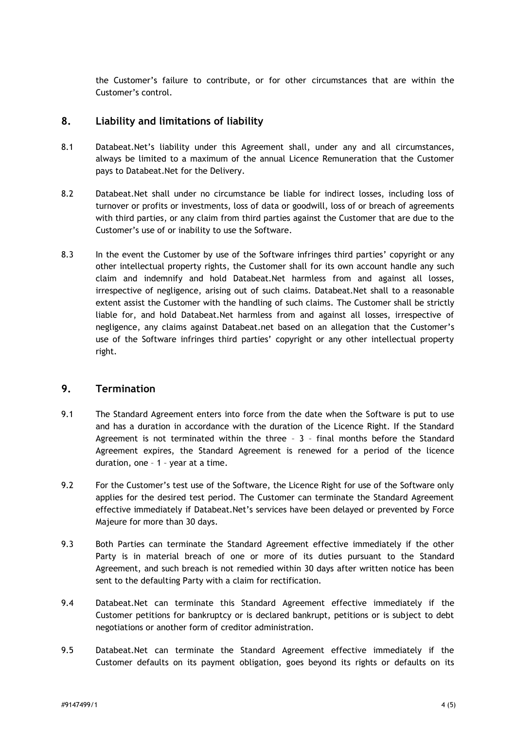the Customer's failure to contribute, or for other circumstances that are within the Customer's control.

#### **8. Liability and limitations of liability**

- 8.1 Databeat.Net's liability under this Agreement shall, under any and all circumstances, always be limited to a maximum of the annual Licence Remuneration that the Customer pays to Databeat.Net for the Delivery.
- 8.2 Databeat.Net shall under no circumstance be liable for indirect losses, including loss of turnover or profits or investments, loss of data or goodwill, loss of or breach of agreements with third parties, or any claim from third parties against the Customer that are due to the Customer's use of or inability to use the Software.
- 8.3 In the event the Customer by use of the Software infringes third parties' copyright or any other intellectual property rights, the Customer shall for its own account handle any such claim and indemnify and hold Databeat.Net harmless from and against all losses, irrespective of negligence, arising out of such claims. Databeat.Net shall to a reasonable extent assist the Customer with the handling of such claims. The Customer shall be strictly liable for, and hold Databeat.Net harmless from and against all losses, irrespective of negligence, any claims against Databeat.net based on an allegation that the Customer's use of the Software infringes third parties' copyright or any other intellectual property right.

### **9. Termination**

- 9.1 The Standard Agreement enters into force from the date when the Software is put to use and has a duration in accordance with the duration of the Licence Right. If the Standard Agreement is not terminated within the three – 3 – final months before the Standard Agreement expires, the Standard Agreement is renewed for a period of the licence duration, one – 1 – year at a time.
- 9.2 For the Customer's test use of the Software, the Licence Right for use of the Software only applies for the desired test period. The Customer can terminate the Standard Agreement effective immediately if Databeat.Net's services have been delayed or prevented by Force Majeure for more than 30 days.
- 9.3 Both Parties can terminate the Standard Agreement effective immediately if the other Party is in material breach of one or more of its duties pursuant to the Standard Agreement, and such breach is not remedied within 30 days after written notice has been sent to the defaulting Party with a claim for rectification.
- 9.4 Databeat.Net can terminate this Standard Agreement effective immediately if the Customer petitions for bankruptcy or is declared bankrupt, petitions or is subject to debt negotiations or another form of creditor administration.
- 9.5 Databeat.Net can terminate the Standard Agreement effective immediately if the Customer defaults on its payment obligation, goes beyond its rights or defaults on its